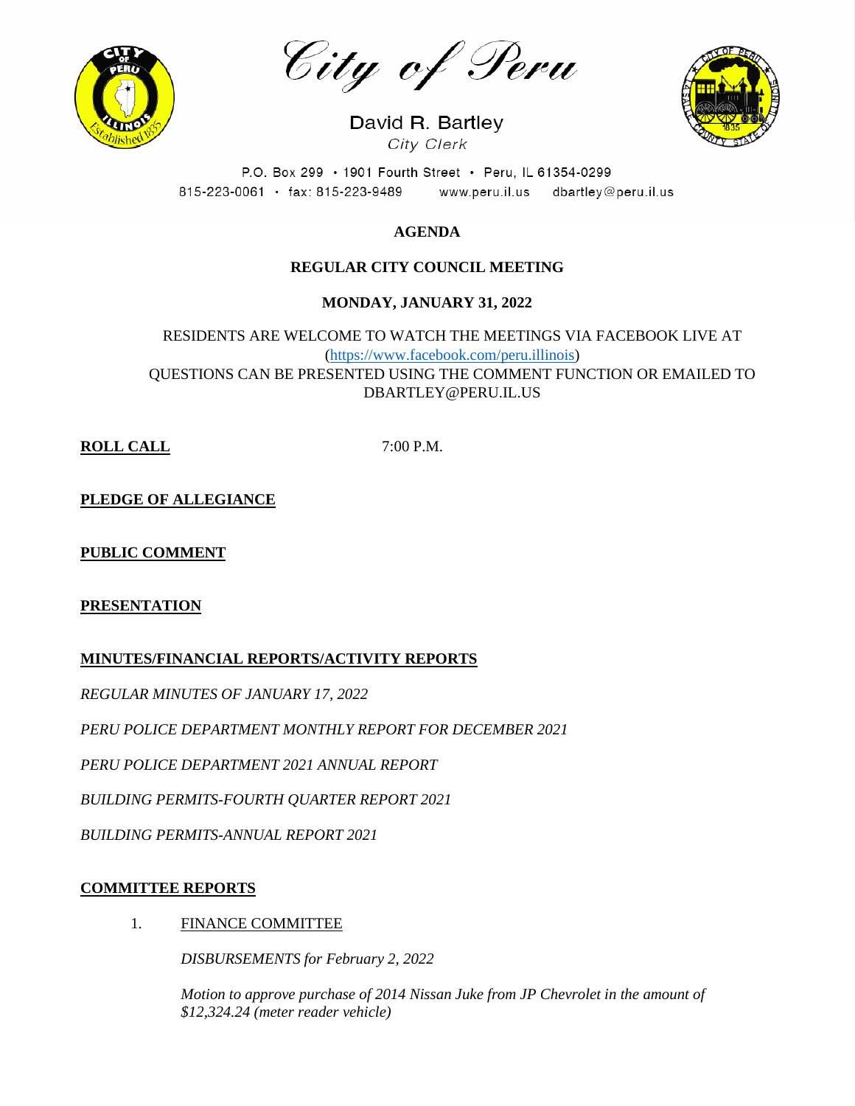

City of Peru

David R. Bartley City Clerk



P.O. Box 299 · 1901 Fourth Street · Peru, IL 61354-0299 815-223-0061 · fax: 815-223-9489 www.peru.il.us dbartley@peru.il.us

# **AGENDA**

## **REGULAR CITY COUNCIL MEETING**

# **MONDAY, JANUARY 31, 2022**

RESIDENTS ARE WELCOME TO WATCH THE MEETINGS VIA FACEBOOK LIVE AT [\(https://www.facebook.com/peru.illinois\)](https://www.facebook.com/peru.illinois) QUESTIONS CAN BE PRESENTED USING THE COMMENT FUNCTION OR EMAILED TO DBARTLEY@PERU.IL.US

**ROLL CALL** 7:00 P.M.

**PLEDGE OF ALLEGIANCE**

# **PUBLIC COMMENT**

### **PRESENTATION**

### **MINUTES/FINANCIAL REPORTS/ACTIVITY REPORTS**

*REGULAR MINUTES OF JANUARY 17, 2022*

*PERU POLICE DEPARTMENT MONTHLY REPORT FOR DECEMBER 2021*

*PERU POLICE DEPARTMENT 2021 ANNUAL REPORT*

*BUILDING PERMITS-FOURTH QUARTER REPORT 2021*

*BUILDING PERMITS-ANNUAL REPORT 2021*

### **COMMITTEE REPORTS**

1. FINANCE COMMITTEE

*DISBURSEMENTS for February 2, 2022*

*Motion to approve purchase of 2014 Nissan Juke from JP Chevrolet in the amount of \$12,324.24 (meter reader vehicle)*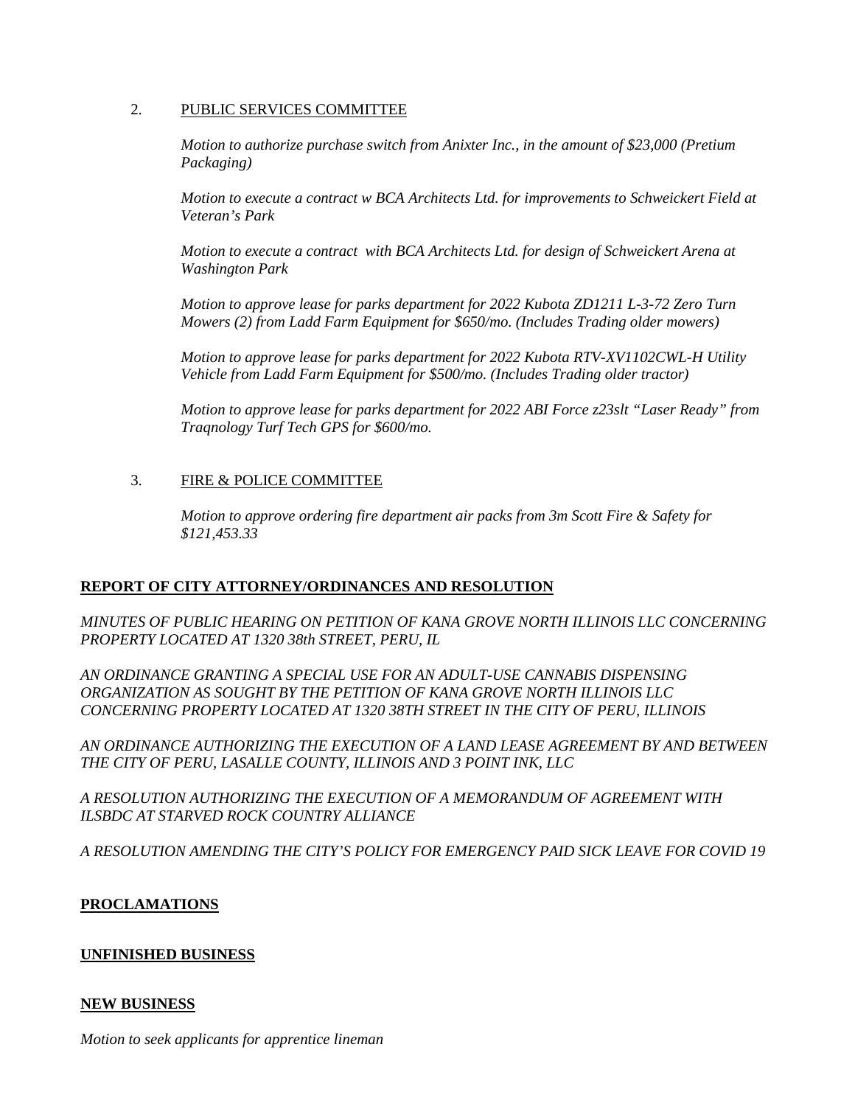#### 2. PUBLIC SERVICES COMMITTEE

*Motion to authorize purchase switch from Anixter Inc., in the amount of \$23,000 (Pretium Packaging)*

*Motion to execute a contract w BCA Architects Ltd. for improvements to Schweickert Field at Veteran's Park* 

*Motion to execute a contract with BCA Architects Ltd. for design of Schweickert Arena at Washington Park*

*Motion to approve lease for parks department for 2022 Kubota ZD1211 L-3-72 Zero Turn Mowers (2) from Ladd Farm Equipment for \$650/mo. (Includes Trading older mowers)*

*Motion to approve lease for parks department for 2022 Kubota RTV-XV1102CWL-H Utility Vehicle from Ladd Farm Equipment for \$500/mo. (Includes Trading older tractor)*

*Motion to approve lease for parks department for 2022 ABI Force z23slt "Laser Ready" from Traqnology Turf Tech GPS for \$600/mo.*

### 3. FIRE & POLICE COMMITTEE

*Motion to approve ordering fire department air packs from 3m Scott Fire & Safety for \$121,453.33*

#### **REPORT OF CITY ATTORNEY/ORDINANCES AND RESOLUTION**

*MINUTES OF PUBLIC HEARING ON PETITION OF KANA GROVE NORTH ILLINOIS LLC CONCERNING PROPERTY LOCATED AT 1320 38th STREET, PERU, IL* 

*AN ORDINANCE GRANTING A SPECIAL USE FOR AN ADULT-USE CANNABIS DISPENSING ORGANIZATION AS SOUGHT BY THE PETITION OF KANA GROVE NORTH ILLINOIS LLC CONCERNING PROPERTY LOCATED AT 1320 38TH STREET IN THE CITY OF PERU, ILLINOIS*

*AN ORDINANCE AUTHORIZING THE EXECUTION OF A LAND LEASE AGREEMENT BY AND BETWEEN THE CITY OF PERU, LASALLE COUNTY, ILLINOIS AND 3 POINT INK, LLC*

*A RESOLUTION AUTHORIZING THE EXECUTION OF A MEMORANDUM OF AGREEMENT WITH ILSBDC AT STARVED ROCK COUNTRY ALLIANCE*

*A RESOLUTION AMENDING THE CITY'S POLICY FOR EMERGENCY PAID SICK LEAVE FOR COVID 19*

#### **PROCLAMATIONS**

#### **UNFINISHED BUSINESS**

#### **NEW BUSINESS**

*Motion to seek applicants for apprentice lineman*